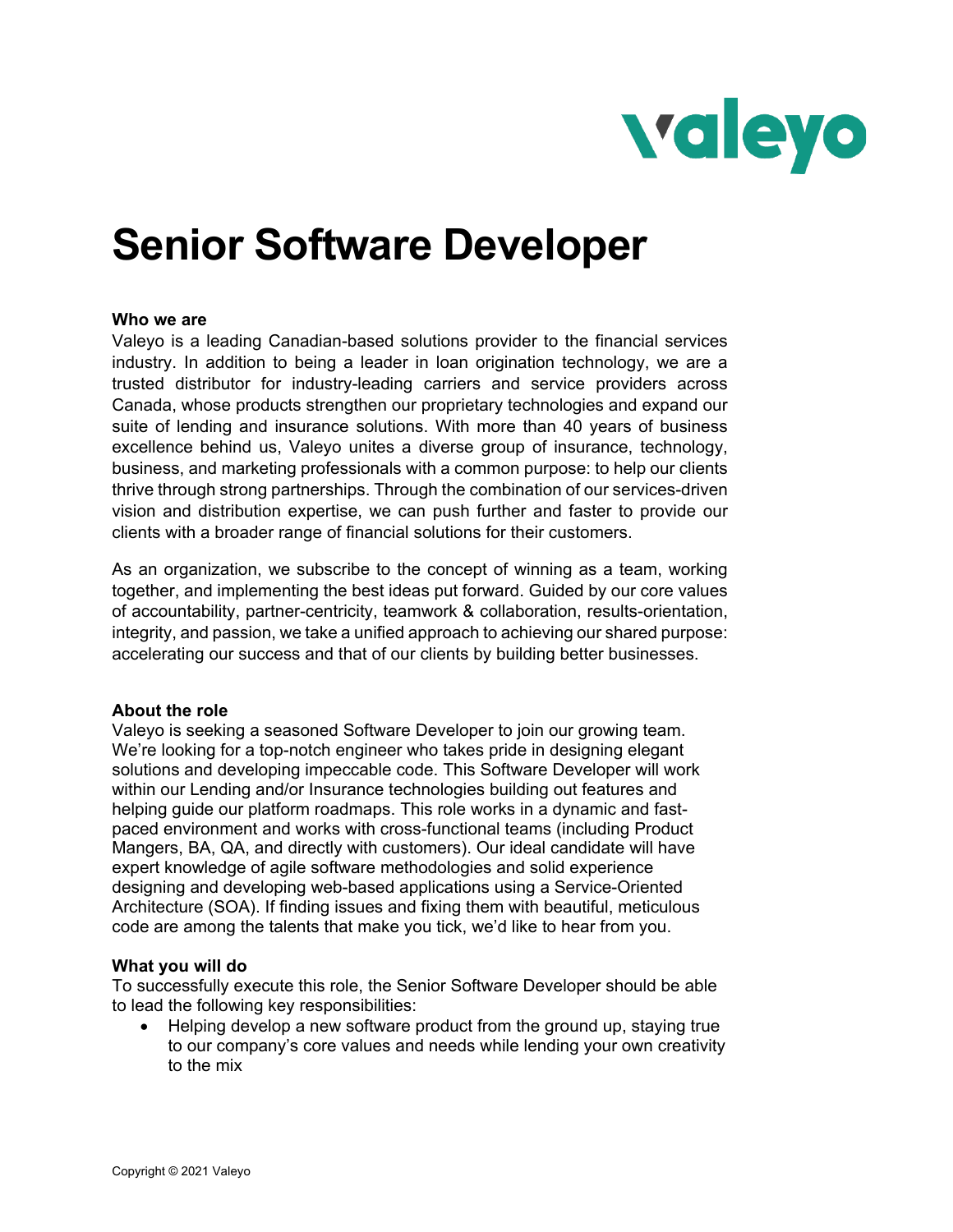

# **Senior Software Developer**

#### **Who we are**

Valeyo is a leading Canadian-based solutions provider to the financial services industry. In addition to being a leader in loan origination technology, we are a trusted distributor for industry-leading carriers and service providers across Canada, whose products strengthen our proprietary technologies and expand our suite of lending and insurance solutions. With more than 40 years of business excellence behind us, Valeyo unites a diverse group of insurance, technology, business, and marketing professionals with a common purpose: to help our clients thrive through strong partnerships. Through the combination of our services-driven vision and distribution expertise, we can push further and faster to provide our clients with a broader range of financial solutions for their customers.

As an organization, we subscribe to the concept of winning as a team, working together, and implementing the best ideas put forward. Guided by our core values of accountability, partner-centricity, teamwork & collaboration, results-orientation, integrity, and passion, we take a unified approach to achieving our shared purpose: accelerating our success and that of our clients by building better businesses.

#### **About the role**

Valeyo is seeking a seasoned Software Developer to join our growing team. We're looking for a top-notch engineer who takes pride in designing elegant solutions and developing impeccable code. This Software Developer will work within our Lending and/or Insurance technologies building out features and helping guide our platform roadmaps. This role works in a dynamic and fastpaced environment and works with cross-functional teams (including Product Mangers, BA, QA, and directly with customers). Our ideal candidate will have expert knowledge of agile software methodologies and solid experience designing and developing web-based applications using a Service-Oriented Architecture (SOA). If finding issues and fixing them with beautiful, meticulous code are among the talents that make you tick, we'd like to hear from you.

#### **What you will do**

To successfully execute this role, the Senior Software Developer should be able to lead the following key responsibilities:

• Helping develop a new software product from the ground up, staying true to our company's core values and needs while lending your own creativity to the mix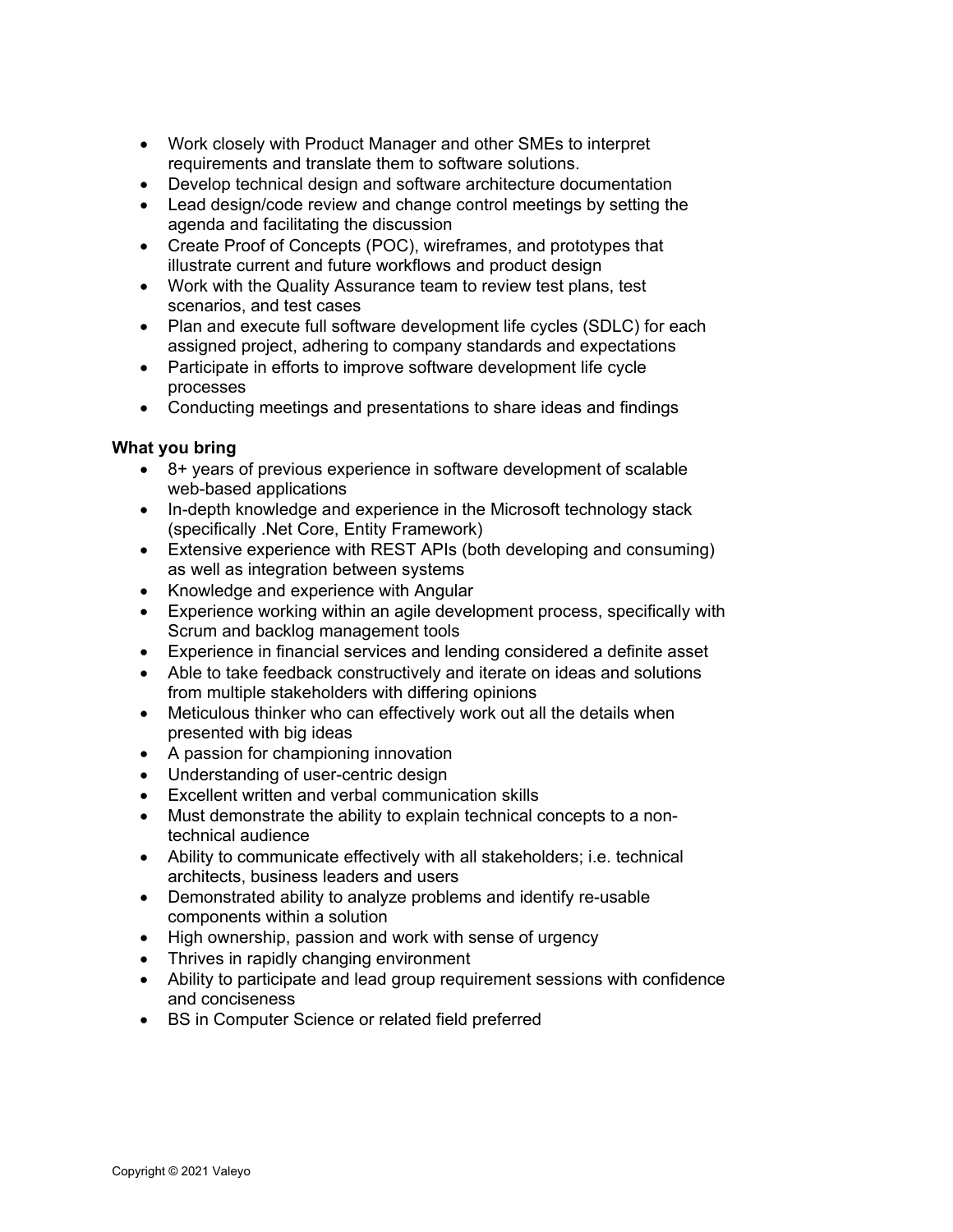- Work closely with Product Manager and other SMEs to interpret requirements and translate them to software solutions.
- Develop technical design and software architecture documentation
- Lead design/code review and change control meetings by setting the agenda and facilitating the discussion
- Create Proof of Concepts (POC), wireframes, and prototypes that illustrate current and future workflows and product design
- Work with the Quality Assurance team to review test plans, test scenarios, and test cases
- Plan and execute full software development life cycles (SDLC) for each assigned project, adhering to company standards and expectations
- Participate in efforts to improve software development life cycle processes
- Conducting meetings and presentations to share ideas and findings

## **What you bring**

- 8+ years of previous experience in software development of scalable web-based applications
- In-depth knowledge and experience in the Microsoft technology stack (specifically .Net Core, Entity Framework)
- Extensive experience with REST APIs (both developing and consuming) as well as integration between systems
- Knowledge and experience with Angular
- Experience working within an agile development process, specifically with Scrum and backlog management tools
- Experience in financial services and lending considered a definite asset
- Able to take feedback constructively and iterate on ideas and solutions from multiple stakeholders with differing opinions
- Meticulous thinker who can effectively work out all the details when presented with big ideas
- A passion for championing innovation
- Understanding of user-centric design
- Excellent written and verbal communication skills
- Must demonstrate the ability to explain technical concepts to a nontechnical audience
- Ability to communicate effectively with all stakeholders; i.e. technical architects, business leaders and users
- Demonstrated ability to analyze problems and identify re-usable components within a solution
- High ownership, passion and work with sense of urgency
- Thrives in rapidly changing environment
- Ability to participate and lead group requirement sessions with confidence and conciseness
- BS in Computer Science or related field preferred